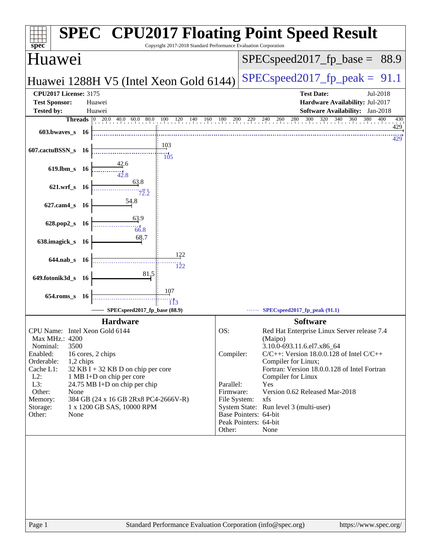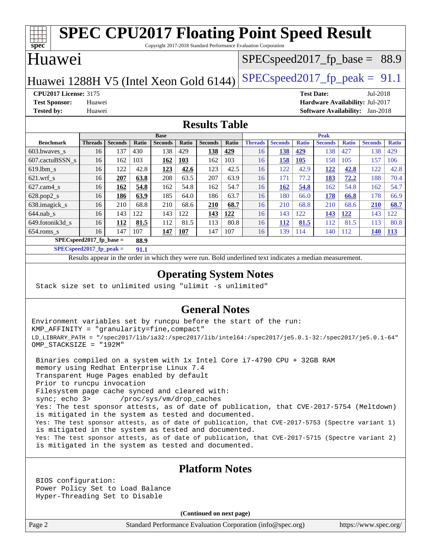#### **[spec](http://www.spec.org/) [SPEC CPU2017 Floating Point Speed Result](http://www.spec.org/auto/cpu2017/Docs/result-fields.html#SPECCPU2017FloatingPointSpeedResult)** Copyright 2017-2018 Standard Performance Evaluation Corporation Huawei Huawei 1288H V5 (Intel Xeon Gold 6144) SPECspeed 2017 fp peak =  $91.1$  $SPECspeed2017_fp\_base = 88.9$ **[CPU2017 License:](http://www.spec.org/auto/cpu2017/Docs/result-fields.html#CPU2017License)** 3175 **[Test Date:](http://www.spec.org/auto/cpu2017/Docs/result-fields.html#TestDate)** Jul-2018 **[Test Sponsor:](http://www.spec.org/auto/cpu2017/Docs/result-fields.html#TestSponsor)** Huawei **[Hardware Availability:](http://www.spec.org/auto/cpu2017/Docs/result-fields.html#HardwareAvailability)** Jul-2017 **[Tested by:](http://www.spec.org/auto/cpu2017/Docs/result-fields.html#Testedby)** Huawei **[Software Availability:](http://www.spec.org/auto/cpu2017/Docs/result-fields.html#SoftwareAvailability)** Jan-2018 **[Results Table](http://www.spec.org/auto/cpu2017/Docs/result-fields.html#ResultsTable) [Benchmark](http://www.spec.org/auto/cpu2017/Docs/result-fields.html#Benchmark) [Threads](http://www.spec.org/auto/cpu2017/Docs/result-fields.html#Threads) [Seconds](http://www.spec.org/auto/cpu2017/Docs/result-fields.html#Seconds) [Ratio](http://www.spec.org/auto/cpu2017/Docs/result-fields.html#Ratio) [Seconds](http://www.spec.org/auto/cpu2017/Docs/result-fields.html#Seconds) [Ratio](http://www.spec.org/auto/cpu2017/Docs/result-fields.html#Ratio) [Seconds](http://www.spec.org/auto/cpu2017/Docs/result-fields.html#Seconds) [Ratio](http://www.spec.org/auto/cpu2017/Docs/result-fields.html#Ratio) Base [Threads](http://www.spec.org/auto/cpu2017/Docs/result-fields.html#Threads) [Seconds](http://www.spec.org/auto/cpu2017/Docs/result-fields.html#Seconds) [Ratio](http://www.spec.org/auto/cpu2017/Docs/result-fields.html#Ratio) [Seconds](http://www.spec.org/auto/cpu2017/Docs/result-fields.html#Seconds) [Ratio](http://www.spec.org/auto/cpu2017/Docs/result-fields.html#Ratio) [Seconds](http://www.spec.org/auto/cpu2017/Docs/result-fields.html#Seconds) [Ratio](http://www.spec.org/auto/cpu2017/Docs/result-fields.html#Ratio) Peak** [603.bwaves\\_s](http://www.spec.org/auto/cpu2017/Docs/benchmarks/603.bwaves_s.html) 16 137 430 138 429 **[138](http://www.spec.org/auto/cpu2017/Docs/result-fields.html#Median) [429](http://www.spec.org/auto/cpu2017/Docs/result-fields.html#Median)** 16 **[138](http://www.spec.org/auto/cpu2017/Docs/result-fields.html#Median) [429](http://www.spec.org/auto/cpu2017/Docs/result-fields.html#Median)** 138 427 138 429 [607.cactuBSSN\\_s](http://www.spec.org/auto/cpu2017/Docs/benchmarks/607.cactuBSSN_s.html) 16 162 103 **[162](http://www.spec.org/auto/cpu2017/Docs/result-fields.html#Median) [103](http://www.spec.org/auto/cpu2017/Docs/result-fields.html#Median)** 162 103 16 **[158](http://www.spec.org/auto/cpu2017/Docs/result-fields.html#Median) [105](http://www.spec.org/auto/cpu2017/Docs/result-fields.html#Median)** 158 105 157 106 [619.lbm\\_s](http://www.spec.org/auto/cpu2017/Docs/benchmarks/619.lbm_s.html) 16 122 42.8 **[123](http://www.spec.org/auto/cpu2017/Docs/result-fields.html#Median) [42.6](http://www.spec.org/auto/cpu2017/Docs/result-fields.html#Median)** 123 42.5 16 122 42.9 **[122](http://www.spec.org/auto/cpu2017/Docs/result-fields.html#Median) [42.8](http://www.spec.org/auto/cpu2017/Docs/result-fields.html#Median)** 122 42.8 [621.wrf\\_s](http://www.spec.org/auto/cpu2017/Docs/benchmarks/621.wrf_s.html) 16 **[207](http://www.spec.org/auto/cpu2017/Docs/result-fields.html#Median) [63.8](http://www.spec.org/auto/cpu2017/Docs/result-fields.html#Median)** 208 63.5 207 63.9 16 171 77.2 **[183](http://www.spec.org/auto/cpu2017/Docs/result-fields.html#Median) [72.2](http://www.spec.org/auto/cpu2017/Docs/result-fields.html#Median)** 188 70.4 [627.cam4\\_s](http://www.spec.org/auto/cpu2017/Docs/benchmarks/627.cam4_s.html) 16 **[162](http://www.spec.org/auto/cpu2017/Docs/result-fields.html#Median) [54.8](http://www.spec.org/auto/cpu2017/Docs/result-fields.html#Median)** 162 54.8 162 54.7 16 **[162](http://www.spec.org/auto/cpu2017/Docs/result-fields.html#Median) [54.8](http://www.spec.org/auto/cpu2017/Docs/result-fields.html#Median)** 162 54.8 162 54.7 [628.pop2\\_s](http://www.spec.org/auto/cpu2017/Docs/benchmarks/628.pop2_s.html) 16 **[186](http://www.spec.org/auto/cpu2017/Docs/result-fields.html#Median) [63.9](http://www.spec.org/auto/cpu2017/Docs/result-fields.html#Median)** 185 64.0 186 63.7 16 180 66.0 **[178](http://www.spec.org/auto/cpu2017/Docs/result-fields.html#Median) [66.8](http://www.spec.org/auto/cpu2017/Docs/result-fields.html#Median)** 178 66.9 [638.imagick\\_s](http://www.spec.org/auto/cpu2017/Docs/benchmarks/638.imagick_s.html) 16 210 68.8 210 68.6 **[210](http://www.spec.org/auto/cpu2017/Docs/result-fields.html#Median) [68.7](http://www.spec.org/auto/cpu2017/Docs/result-fields.html#Median)** 16 210 68.8 210 68.6 **[210](http://www.spec.org/auto/cpu2017/Docs/result-fields.html#Median) [68.7](http://www.spec.org/auto/cpu2017/Docs/result-fields.html#Median)**

**[General Notes](http://www.spec.org/auto/cpu2017/Docs/result-fields.html#GeneralNotes)**

[644.nab\\_s](http://www.spec.org/auto/cpu2017/Docs/benchmarks/644.nab_s.html) 16 143 122 143 122 **[143](http://www.spec.org/auto/cpu2017/Docs/result-fields.html#Median) [122](http://www.spec.org/auto/cpu2017/Docs/result-fields.html#Median)** 16 143 122 **[143](http://www.spec.org/auto/cpu2017/Docs/result-fields.html#Median) [122](http://www.spec.org/auto/cpu2017/Docs/result-fields.html#Median)** 143 122 [649.fotonik3d\\_s](http://www.spec.org/auto/cpu2017/Docs/benchmarks/649.fotonik3d_s.html) 16 **[112](http://www.spec.org/auto/cpu2017/Docs/result-fields.html#Median) [81.5](http://www.spec.org/auto/cpu2017/Docs/result-fields.html#Median)** 112 81.5 113 80.8 16 **[112](http://www.spec.org/auto/cpu2017/Docs/result-fields.html#Median) [81.5](http://www.spec.org/auto/cpu2017/Docs/result-fields.html#Median)** 112 81.5 113 80.8 [654.roms\\_s](http://www.spec.org/auto/cpu2017/Docs/benchmarks/654.roms_s.html) 16 147 107 **[147](http://www.spec.org/auto/cpu2017/Docs/result-fields.html#Median) [107](http://www.spec.org/auto/cpu2017/Docs/result-fields.html#Median)** 147 107 16 139 114 140 112 **[140](http://www.spec.org/auto/cpu2017/Docs/result-fields.html#Median) [113](http://www.spec.org/auto/cpu2017/Docs/result-fields.html#Median)**

Results appear in the [order in which they were run.](http://www.spec.org/auto/cpu2017/Docs/result-fields.html#RunOrder) Bold underlined text [indicates a median measurement](http://www.spec.org/auto/cpu2017/Docs/result-fields.html#Median).

**[Operating System Notes](http://www.spec.org/auto/cpu2017/Docs/result-fields.html#OperatingSystemNotes)**

Environment variables set by runcpu before the start of the run: KMP\_AFFINITY = "granularity=fine,compact" LD\_LIBRARY\_PATH = "/spec2017/lib/ia32:/spec2017/lib/intel64:/spec2017/je5.0.1-32:/spec2017/je5.0.1-64" OMP\_STACKSIZE = "192M"

 Binaries compiled on a system with 1x Intel Core i7-4790 CPU + 32GB RAM memory using Redhat Enterprise Linux 7.4 Transparent Huge Pages enabled by default Prior to runcpu invocation Filesystem page cache synced and cleared with: sync; echo 3> /proc/sys/vm/drop\_caches Yes: The test sponsor attests, as of date of publication, that CVE-2017-5754 (Meltdown) is mitigated in the system as tested and documented. Yes: The test sponsor attests, as of date of publication, that CVE-2017-5753 (Spectre variant 1) is mitigated in the system as tested and documented. Yes: The test sponsor attests, as of date of publication, that CVE-2017-5715 (Spectre variant 2) is mitigated in the system as tested and documented.

#### **[Platform Notes](http://www.spec.org/auto/cpu2017/Docs/result-fields.html#PlatformNotes)**

 BIOS configuration: Power Policy Set to Load Balance Hyper-Threading Set to Disable

**[SPECspeed2017\\_fp\\_base =](http://www.spec.org/auto/cpu2017/Docs/result-fields.html#SPECspeed2017fpbase) 88.9 [SPECspeed2017\\_fp\\_peak =](http://www.spec.org/auto/cpu2017/Docs/result-fields.html#SPECspeed2017fppeak) 91.1**

Stack size set to unlimited using "ulimit -s unlimited"

**(Continued on next page)**

Page 2 Standard Performance Evaluation Corporation [\(info@spec.org\)](mailto:info@spec.org) <https://www.spec.org/>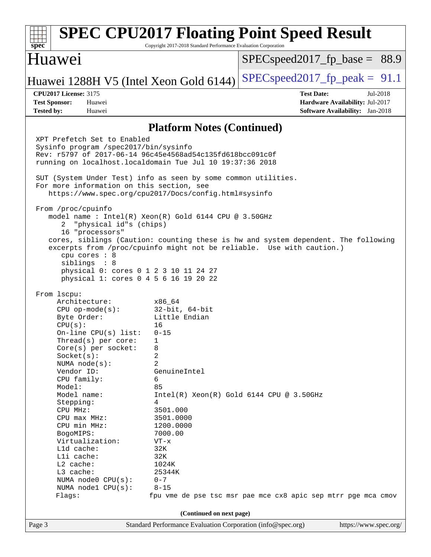#### Page 3 Standard Performance Evaluation Corporation [\(info@spec.org\)](mailto:info@spec.org) <https://www.spec.org/> **[spec](http://www.spec.org/) [SPEC CPU2017 Floating Point Speed Result](http://www.spec.org/auto/cpu2017/Docs/result-fields.html#SPECCPU2017FloatingPointSpeedResult)** Copyright 2017-2018 Standard Performance Evaluation Corporation Huawei Huawei 1288H V5 (Intel Xeon Gold 6144) SPECspeed 2017 fp peak =  $91.1$  $SPECspeed2017_fp\_base = 88.9$ **[CPU2017 License:](http://www.spec.org/auto/cpu2017/Docs/result-fields.html#CPU2017License)** 3175 **[Test Date:](http://www.spec.org/auto/cpu2017/Docs/result-fields.html#TestDate)** Jul-2018 **[Test Sponsor:](http://www.spec.org/auto/cpu2017/Docs/result-fields.html#TestSponsor)** Huawei **[Hardware Availability:](http://www.spec.org/auto/cpu2017/Docs/result-fields.html#HardwareAvailability)** Jul-2017 **[Tested by:](http://www.spec.org/auto/cpu2017/Docs/result-fields.html#Testedby)** Huawei **[Software Availability:](http://www.spec.org/auto/cpu2017/Docs/result-fields.html#SoftwareAvailability)** Jan-2018 **[Platform Notes \(Continued\)](http://www.spec.org/auto/cpu2017/Docs/result-fields.html#PlatformNotes)** XPT Prefetch Set to Enabled Sysinfo program /spec2017/bin/sysinfo Rev: r5797 of 2017-06-14 96c45e4568ad54c135fd618bcc091c0f running on localhost.localdomain Tue Jul 10 19:37:36 2018 SUT (System Under Test) info as seen by some common utilities. For more information on this section, see <https://www.spec.org/cpu2017/Docs/config.html#sysinfo> From /proc/cpuinfo model name : Intel(R) Xeon(R) Gold 6144 CPU @ 3.50GHz 2 "physical id"s (chips) 16 "processors" cores, siblings (Caution: counting these is hw and system dependent. The following excerpts from /proc/cpuinfo might not be reliable. Use with caution.) cpu cores : 8 siblings : 8 physical 0: cores 0 1 2 3 10 11 24 27 physical 1: cores 0 4 5 6 16 19 20 22 From lscpu: Architecture: x86\_64 CPU op-mode(s): 32-bit, 64-bit Byte Order: Little Endian CPU(s): 16 On-line CPU(s) list: 0-15 Thread(s) per core: 1 Core(s) per socket: 8 Socket(s): 2 NUMA node(s): 2 Vendor ID: GenuineIntel CPU family: 6 Model: 85 Model name: Intel(R) Xeon(R) Gold 6144 CPU @ 3.50GHz Stepping: 4 CPU MHz: 3501.000 CPU max MHz: 3501.0000 CPU min MHz: 1200.0000 BogoMIPS: 7000.00 Virtualization: VT-x L1d cache: 32K L1i cache: 32K L2 cache: 1024K<br>
L3 cache: 25344K  $L3$  cache: NUMA node0 CPU(s): 0-7 NUMA node1 CPU(s): 8-15 Flags: fpu vme de pse tsc msr pae mce cx8 apic sep mtrr pge mca cmov **(Continued on next page)**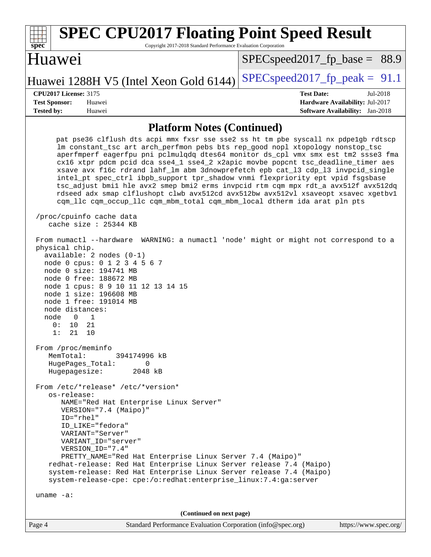| <b>SPEC CPU2017 Floating Point Speed Result</b><br>spec<br>Copyright 2017-2018 Standard Performance Evaluation Corporation                                                                                                                                                                                                                                                                                                                                                                                                                                                                                                                                                            |                                        |  |  |  |  |
|---------------------------------------------------------------------------------------------------------------------------------------------------------------------------------------------------------------------------------------------------------------------------------------------------------------------------------------------------------------------------------------------------------------------------------------------------------------------------------------------------------------------------------------------------------------------------------------------------------------------------------------------------------------------------------------|----------------------------------------|--|--|--|--|
| Huawei                                                                                                                                                                                                                                                                                                                                                                                                                                                                                                                                                                                                                                                                                | $SPEC speed2017_f p\_base = 88.9$      |  |  |  |  |
| Huawei 1288H V5 (Intel Xeon Gold 6144)                                                                                                                                                                                                                                                                                                                                                                                                                                                                                                                                                                                                                                                | $SPEC speed2017_fp\_peak = 91.1$       |  |  |  |  |
| <b>CPU2017 License: 3175</b>                                                                                                                                                                                                                                                                                                                                                                                                                                                                                                                                                                                                                                                          | <b>Test Date:</b><br>Jul-2018          |  |  |  |  |
| <b>Test Sponsor:</b><br>Huawei                                                                                                                                                                                                                                                                                                                                                                                                                                                                                                                                                                                                                                                        | Hardware Availability: Jul-2017        |  |  |  |  |
| <b>Tested by:</b><br>Huawei                                                                                                                                                                                                                                                                                                                                                                                                                                                                                                                                                                                                                                                           | <b>Software Availability:</b> Jan-2018 |  |  |  |  |
| <b>Platform Notes (Continued)</b>                                                                                                                                                                                                                                                                                                                                                                                                                                                                                                                                                                                                                                                     |                                        |  |  |  |  |
| pat pse36 clflush dts acpi mmx fxsr sse sse2 ss ht tm pbe syscall nx pdpelgb rdtscp                                                                                                                                                                                                                                                                                                                                                                                                                                                                                                                                                                                                   |                                        |  |  |  |  |
| lm constant_tsc art arch_perfmon pebs bts rep_good nopl xtopology nonstop_tsc<br>aperfmperf eagerfpu pni pclmulqdq dtes64 monitor ds_cpl vmx smx est tm2 ssse3 fma<br>cx16 xtpr pdcm pcid dca sse4_1 sse4_2 x2apic movbe popcnt tsc_deadline_timer aes<br>xsave avx f16c rdrand lahf_lm abm 3dnowprefetch epb cat_13 cdp_13 invpcid_single<br>intel_pt spec_ctrl ibpb_support tpr_shadow vnmi flexpriority ept vpid fsgsbase<br>tsc_adjust bmil hle avx2 smep bmi2 erms invpcid rtm cqm mpx rdt_a avx512f avx512dq<br>rdseed adx smap clflushopt clwb avx512cd avx512bw avx512vl xsaveopt xsavec xgetbvl<br>cqm_llc cqm_occup_llc cqm_mbm_total cqm_mbm_local dtherm ida arat pln pts |                                        |  |  |  |  |
| /proc/cpuinfo cache data<br>cache size $: 25344$ KB                                                                                                                                                                                                                                                                                                                                                                                                                                                                                                                                                                                                                                   |                                        |  |  |  |  |
| From numactl --hardware WARNING: a numactl 'node' might or might not correspond to a<br>physical chip.<br>available: 2 nodes (0-1)<br>node 0 cpus: 0 1 2 3 4 5 6 7<br>node 0 size: 194741 MB<br>node 0 free: 188672 MB<br>node 1 cpus: 8 9 10 11 12 13 14 15<br>node 1 size: 196608 MB<br>node 1 free: 191014 MB                                                                                                                                                                                                                                                                                                                                                                      |                                        |  |  |  |  |

 node 0 1 0: 10 21 1: 21 10 From /proc/meminfo

node distances:

 MemTotal: 394174996 kB HugePages\_Total: 0<br>Hugepagesize: 2048 kB Hugepagesize:

 From /etc/\*release\* /etc/\*version\* os-release: NAME="Red Hat Enterprise Linux Server" VERSION="7.4 (Maipo)" ID="rhel" ID\_LIKE="fedora" VARIANT="Server" VARIANT\_ID="server" VERSION\_ID="7.4" PRETTY\_NAME="Red Hat Enterprise Linux Server 7.4 (Maipo)" redhat-release: Red Hat Enterprise Linux Server release 7.4 (Maipo) system-release: Red Hat Enterprise Linux Server release 7.4 (Maipo)

system-release-cpe: cpe:/o:redhat:enterprise\_linux:7.4:ga:server

uname -a:

**(Continued on next page)**

| Ρ<br>age" |  |
|-----------|--|
|           |  |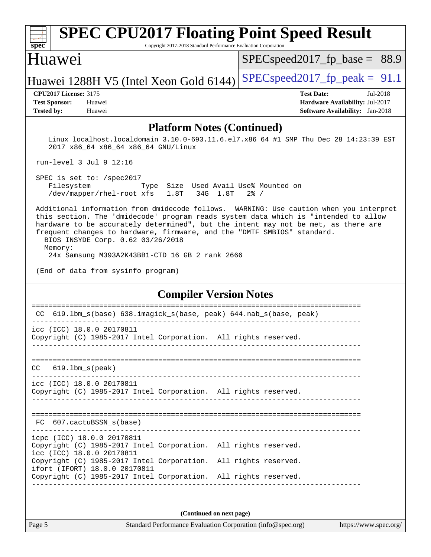#### **[spec](http://www.spec.org/) [SPEC CPU2017 Floating Point Speed Result](http://www.spec.org/auto/cpu2017/Docs/result-fields.html#SPECCPU2017FloatingPointSpeedResult)** Copyright 2017-2018 Standard Performance Evaluation Corporation Huawei Huawei 1288H V5 (Intel Xeon Gold 6144) SPECspeed 2017 fp peak =  $91.1$ [SPECspeed2017\\_fp\\_base =](http://www.spec.org/auto/cpu2017/Docs/result-fields.html#SPECspeed2017fpbase) 88.9 **[CPU2017 License:](http://www.spec.org/auto/cpu2017/Docs/result-fields.html#CPU2017License)** 3175 **[Test Date:](http://www.spec.org/auto/cpu2017/Docs/result-fields.html#TestDate)** Jul-2018 **[Test Sponsor:](http://www.spec.org/auto/cpu2017/Docs/result-fields.html#TestSponsor)** Huawei **[Hardware Availability:](http://www.spec.org/auto/cpu2017/Docs/result-fields.html#HardwareAvailability)** Jul-2017 **[Tested by:](http://www.spec.org/auto/cpu2017/Docs/result-fields.html#Testedby)** Huawei **[Software Availability:](http://www.spec.org/auto/cpu2017/Docs/result-fields.html#SoftwareAvailability)** Jan-2018

#### **[Platform Notes \(Continued\)](http://www.spec.org/auto/cpu2017/Docs/result-fields.html#PlatformNotes)**

 Linux localhost.localdomain 3.10.0-693.11.6.el7.x86\_64 #1 SMP Thu Dec 28 14:23:39 EST 2017 x86\_64 x86\_64 x86\_64 GNU/Linux

run-level 3 Jul 9 12:16

 SPEC is set to: /spec2017 Filesystem Type Size Used Avail Use% Mounted on /dev/mapper/rhel-root xfs 1.8T 34G 1.8T 2% /

 Additional information from dmidecode follows. WARNING: Use caution when you interpret this section. The 'dmidecode' program reads system data which is "intended to allow hardware to be accurately determined", but the intent may not be met, as there are frequent changes to hardware, firmware, and the "DMTF SMBIOS" standard. BIOS INSYDE Corp. 0.62 03/26/2018 Memory:

24x Samsung M393A2K43BB1-CTD 16 GB 2 rank 2666

(End of data from sysinfo program)

#### **[Compiler Version Notes](http://www.spec.org/auto/cpu2017/Docs/result-fields.html#CompilerVersionNotes)**

| 619.1bm_s(base) 638.imagick_s(base, peak) 644.nab_s(base, peak)<br>CC.                                                                                              |              |  |
|---------------------------------------------------------------------------------------------------------------------------------------------------------------------|--------------|--|
| icc (ICC) 18.0.0 20170811<br>Copyright (C) 1985-2017 Intel Corporation. All rights reserved.                                                                        |              |  |
| $CC$ 619.1bm $s$ (peak)                                                                                                                                             |              |  |
| icc (ICC) 18.0.0 20170811<br>Copyright (C) 1985-2017 Intel Corporation. All rights reserved.                                                                        |              |  |
| FC 607.cactuBSSN s(base)                                                                                                                                            | ============ |  |
| icpc (ICC) 18.0.0 20170811<br>Copyright (C) 1985-2017 Intel Corporation. All rights reserved.<br>icc (ICC) 18.0.0 20170811                                          |              |  |
| Copyright (C) 1985-2017 Intel Corporation. All rights reserved.<br>ifort (IFORT) 18.0.0 20170811<br>Copyright (C) 1985-2017 Intel Corporation. All rights reserved. |              |  |
|                                                                                                                                                                     |              |  |
|                                                                                                                                                                     |              |  |

**(Continued on next page)**

Page 5 Standard Performance Evaluation Corporation [\(info@spec.org\)](mailto:info@spec.org) <https://www.spec.org/>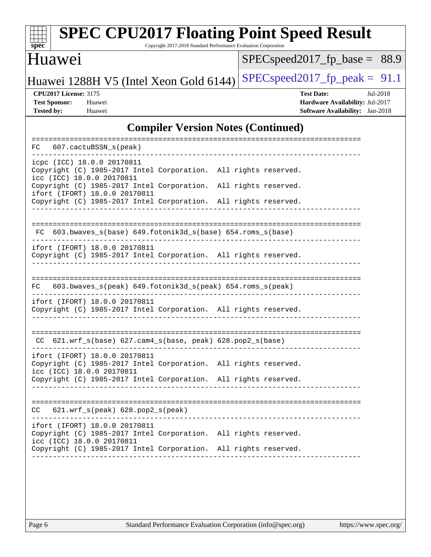

# **[SPEC CPU2017 Floating Point Speed Result](http://www.spec.org/auto/cpu2017/Docs/result-fields.html#SPECCPU2017FloatingPointSpeedResult)**

Copyright 2017-2018 Standard Performance Evaluation Corporation

### Huawei

[SPECspeed2017\\_fp\\_base =](http://www.spec.org/auto/cpu2017/Docs/result-fields.html#SPECspeed2017fpbase) 88.9

Huawei 1288H V5 (Intel Xeon Gold 6144) SPECspeed 2017 fp peak =  $91.1$ 

**[CPU2017 License:](http://www.spec.org/auto/cpu2017/Docs/result-fields.html#CPU2017License)** 3175 **[Test Date:](http://www.spec.org/auto/cpu2017/Docs/result-fields.html#TestDate)** Jul-2018 **[Test Sponsor:](http://www.spec.org/auto/cpu2017/Docs/result-fields.html#TestSponsor)** Huawei **[Hardware Availability:](http://www.spec.org/auto/cpu2017/Docs/result-fields.html#HardwareAvailability)** Jul-2017 **[Tested by:](http://www.spec.org/auto/cpu2017/Docs/result-fields.html#Testedby)** Huawei **[Software Availability:](http://www.spec.org/auto/cpu2017/Docs/result-fields.html#SoftwareAvailability)** Jan-2018

#### **[Compiler Version Notes \(Continued\)](http://www.spec.org/auto/cpu2017/Docs/result-fields.html#CompilerVersionNotes)**

| FC 607.cactuBSSN_s(peak)                                                                                                      |
|-------------------------------------------------------------------------------------------------------------------------------|
| icpc (ICC) 18.0.0 20170811<br>Copyright (C) 1985-2017 Intel Corporation. All rights reserved.<br>icc (ICC) 18.0.0 20170811    |
| Copyright (C) 1985-2017 Intel Corporation.<br>All rights reserved.<br>ifort (IFORT) 18.0.0 20170811                           |
| Copyright (C) 1985-2017 Intel Corporation.<br>All rights reserved.                                                            |
| FC 603.bwaves_s(base) 649.fotonik3d_s(base) 654.roms_s(base)                                                                  |
| ifort (IFORT) 18.0.0 20170811<br>Copyright (C) 1985-2017 Intel Corporation. All rights reserved.                              |
| FC 603.bwaves_s(peak) 649.fotonik3d_s(peak) 654.roms_s(peak)                                                                  |
| ifort (IFORT) 18.0.0 20170811<br>Copyright (C) 1985-2017 Intel Corporation. All rights reserved.                              |
| CC 621.wrf_s(base) 627.cam4_s(base, peak) 628.pop2_s(base)                                                                    |
| ifort (IFORT) 18.0.0 20170811<br>Copyright (C) 1985-2017 Intel Corporation. All rights reserved.<br>icc (ICC) 18.0.0 20170811 |
| Copyright (C) 1985-2017 Intel Corporation. All rights reserved.                                                               |
| $CC$ 621.wrf $s(\text{peak})$ 628.pop2 $s(\text{peak})$                                                                       |
| ifort (IFORT) 18.0.0 20170811<br>Copyright (C) 1985-2017 Intel Corporation. All rights reserved.<br>icc (ICC) 18.0.0 20170811 |
| Copyright (C) 1985-2017 Intel Corporation.<br>All rights reserved.                                                            |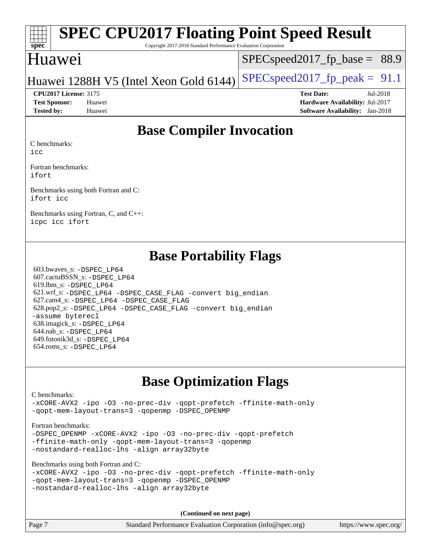#### **[spec](http://www.spec.org/) [SPEC CPU2017 Floating Point Speed Result](http://www.spec.org/auto/cpu2017/Docs/result-fields.html#SPECCPU2017FloatingPointSpeedResult)**

Copyright 2017-2018 Standard Performance Evaluation Corporation

### Huawei

 $SPECspeed2017_fp\_base = 88.9$ 

### Huawei 1288H V5 (Intel Xeon Gold 6144) SPECspeed 2017 fp peak =  $91.1$

#### **[CPU2017 License:](http://www.spec.org/auto/cpu2017/Docs/result-fields.html#CPU2017License)** 3175 **[Test Date:](http://www.spec.org/auto/cpu2017/Docs/result-fields.html#TestDate)** Jul-2018

**[Test Sponsor:](http://www.spec.org/auto/cpu2017/Docs/result-fields.html#TestSponsor)** Huawei **[Hardware Availability:](http://www.spec.org/auto/cpu2017/Docs/result-fields.html#HardwareAvailability)** Jul-2017 **[Tested by:](http://www.spec.org/auto/cpu2017/Docs/result-fields.html#Testedby)** Huawei **[Software Availability:](http://www.spec.org/auto/cpu2017/Docs/result-fields.html#SoftwareAvailability)** Jan-2018

# **[Base Compiler Invocation](http://www.spec.org/auto/cpu2017/Docs/result-fields.html#BaseCompilerInvocation)**

[C benchmarks:](http://www.spec.org/auto/cpu2017/Docs/result-fields.html#Cbenchmarks)

[icc](http://www.spec.org/cpu2017/results/res2018q3/cpu2017-20180712-07842.flags.html#user_CCbase_intel_icc_18.0_66fc1ee009f7361af1fbd72ca7dcefbb700085f36577c54f309893dd4ec40d12360134090235512931783d35fd58c0460139e722d5067c5574d8eaf2b3e37e92)

[Fortran benchmarks](http://www.spec.org/auto/cpu2017/Docs/result-fields.html#Fortranbenchmarks): [ifort](http://www.spec.org/cpu2017/results/res2018q3/cpu2017-20180712-07842.flags.html#user_FCbase_intel_ifort_18.0_8111460550e3ca792625aed983ce982f94888b8b503583aa7ba2b8303487b4d8a21a13e7191a45c5fd58ff318f48f9492884d4413fa793fd88dd292cad7027ca)

[Benchmarks using both Fortran and C:](http://www.spec.org/auto/cpu2017/Docs/result-fields.html#BenchmarksusingbothFortranandC) [ifort](http://www.spec.org/cpu2017/results/res2018q3/cpu2017-20180712-07842.flags.html#user_CC_FCbase_intel_ifort_18.0_8111460550e3ca792625aed983ce982f94888b8b503583aa7ba2b8303487b4d8a21a13e7191a45c5fd58ff318f48f9492884d4413fa793fd88dd292cad7027ca) [icc](http://www.spec.org/cpu2017/results/res2018q3/cpu2017-20180712-07842.flags.html#user_CC_FCbase_intel_icc_18.0_66fc1ee009f7361af1fbd72ca7dcefbb700085f36577c54f309893dd4ec40d12360134090235512931783d35fd58c0460139e722d5067c5574d8eaf2b3e37e92)

[Benchmarks using Fortran, C, and C++:](http://www.spec.org/auto/cpu2017/Docs/result-fields.html#BenchmarksusingFortranCandCXX) [icpc](http://www.spec.org/cpu2017/results/res2018q3/cpu2017-20180712-07842.flags.html#user_CC_CXX_FCbase_intel_icpc_18.0_c510b6838c7f56d33e37e94d029a35b4a7bccf4766a728ee175e80a419847e808290a9b78be685c44ab727ea267ec2f070ec5dc83b407c0218cded6866a35d07) [icc](http://www.spec.org/cpu2017/results/res2018q3/cpu2017-20180712-07842.flags.html#user_CC_CXX_FCbase_intel_icc_18.0_66fc1ee009f7361af1fbd72ca7dcefbb700085f36577c54f309893dd4ec40d12360134090235512931783d35fd58c0460139e722d5067c5574d8eaf2b3e37e92) [ifort](http://www.spec.org/cpu2017/results/res2018q3/cpu2017-20180712-07842.flags.html#user_CC_CXX_FCbase_intel_ifort_18.0_8111460550e3ca792625aed983ce982f94888b8b503583aa7ba2b8303487b4d8a21a13e7191a45c5fd58ff318f48f9492884d4413fa793fd88dd292cad7027ca)

# **[Base Portability Flags](http://www.spec.org/auto/cpu2017/Docs/result-fields.html#BasePortabilityFlags)**

 603.bwaves\_s: [-DSPEC\\_LP64](http://www.spec.org/cpu2017/results/res2018q3/cpu2017-20180712-07842.flags.html#suite_basePORTABILITY603_bwaves_s_DSPEC_LP64) 607.cactuBSSN\_s: [-DSPEC\\_LP64](http://www.spec.org/cpu2017/results/res2018q3/cpu2017-20180712-07842.flags.html#suite_basePORTABILITY607_cactuBSSN_s_DSPEC_LP64) 619.lbm\_s: [-DSPEC\\_LP64](http://www.spec.org/cpu2017/results/res2018q3/cpu2017-20180712-07842.flags.html#suite_basePORTABILITY619_lbm_s_DSPEC_LP64) 621.wrf\_s: [-DSPEC\\_LP64](http://www.spec.org/cpu2017/results/res2018q3/cpu2017-20180712-07842.flags.html#suite_basePORTABILITY621_wrf_s_DSPEC_LP64) [-DSPEC\\_CASE\\_FLAG](http://www.spec.org/cpu2017/results/res2018q3/cpu2017-20180712-07842.flags.html#b621.wrf_s_baseCPORTABILITY_DSPEC_CASE_FLAG) [-convert big\\_endian](http://www.spec.org/cpu2017/results/res2018q3/cpu2017-20180712-07842.flags.html#user_baseFPORTABILITY621_wrf_s_convert_big_endian_c3194028bc08c63ac5d04de18c48ce6d347e4e562e8892b8bdbdc0214820426deb8554edfa529a3fb25a586e65a3d812c835984020483e7e73212c4d31a38223) 627.cam4\_s: [-DSPEC\\_LP64](http://www.spec.org/cpu2017/results/res2018q3/cpu2017-20180712-07842.flags.html#suite_basePORTABILITY627_cam4_s_DSPEC_LP64) [-DSPEC\\_CASE\\_FLAG](http://www.spec.org/cpu2017/results/res2018q3/cpu2017-20180712-07842.flags.html#b627.cam4_s_baseCPORTABILITY_DSPEC_CASE_FLAG) 628.pop2\_s: [-DSPEC\\_LP64](http://www.spec.org/cpu2017/results/res2018q3/cpu2017-20180712-07842.flags.html#suite_basePORTABILITY628_pop2_s_DSPEC_LP64) [-DSPEC\\_CASE\\_FLAG](http://www.spec.org/cpu2017/results/res2018q3/cpu2017-20180712-07842.flags.html#b628.pop2_s_baseCPORTABILITY_DSPEC_CASE_FLAG) [-convert big\\_endian](http://www.spec.org/cpu2017/results/res2018q3/cpu2017-20180712-07842.flags.html#user_baseFPORTABILITY628_pop2_s_convert_big_endian_c3194028bc08c63ac5d04de18c48ce6d347e4e562e8892b8bdbdc0214820426deb8554edfa529a3fb25a586e65a3d812c835984020483e7e73212c4d31a38223) [-assume byterecl](http://www.spec.org/cpu2017/results/res2018q3/cpu2017-20180712-07842.flags.html#user_baseFPORTABILITY628_pop2_s_assume_byterecl_7e47d18b9513cf18525430bbf0f2177aa9bf368bc7a059c09b2c06a34b53bd3447c950d3f8d6c70e3faf3a05c8557d66a5798b567902e8849adc142926523472) 638.imagick\_s: [-DSPEC\\_LP64](http://www.spec.org/cpu2017/results/res2018q3/cpu2017-20180712-07842.flags.html#suite_basePORTABILITY638_imagick_s_DSPEC_LP64) 644.nab\_s: [-DSPEC\\_LP64](http://www.spec.org/cpu2017/results/res2018q3/cpu2017-20180712-07842.flags.html#suite_basePORTABILITY644_nab_s_DSPEC_LP64) 649.fotonik3d\_s: [-DSPEC\\_LP64](http://www.spec.org/cpu2017/results/res2018q3/cpu2017-20180712-07842.flags.html#suite_basePORTABILITY649_fotonik3d_s_DSPEC_LP64) 654.roms\_s: [-DSPEC\\_LP64](http://www.spec.org/cpu2017/results/res2018q3/cpu2017-20180712-07842.flags.html#suite_basePORTABILITY654_roms_s_DSPEC_LP64)

# **[Base Optimization Flags](http://www.spec.org/auto/cpu2017/Docs/result-fields.html#BaseOptimizationFlags)**

#### [C benchmarks](http://www.spec.org/auto/cpu2017/Docs/result-fields.html#Cbenchmarks):

[-xCORE-AVX2](http://www.spec.org/cpu2017/results/res2018q3/cpu2017-20180712-07842.flags.html#user_CCbase_f-xCORE-AVX2) [-ipo](http://www.spec.org/cpu2017/results/res2018q3/cpu2017-20180712-07842.flags.html#user_CCbase_f-ipo) [-O3](http://www.spec.org/cpu2017/results/res2018q3/cpu2017-20180712-07842.flags.html#user_CCbase_f-O3) [-no-prec-div](http://www.spec.org/cpu2017/results/res2018q3/cpu2017-20180712-07842.flags.html#user_CCbase_f-no-prec-div) [-qopt-prefetch](http://www.spec.org/cpu2017/results/res2018q3/cpu2017-20180712-07842.flags.html#user_CCbase_f-qopt-prefetch) [-ffinite-math-only](http://www.spec.org/cpu2017/results/res2018q3/cpu2017-20180712-07842.flags.html#user_CCbase_f_finite_math_only_cb91587bd2077682c4b38af759c288ed7c732db004271a9512da14a4f8007909a5f1427ecbf1a0fb78ff2a814402c6114ac565ca162485bbcae155b5e4258871) [-qopt-mem-layout-trans=3](http://www.spec.org/cpu2017/results/res2018q3/cpu2017-20180712-07842.flags.html#user_CCbase_f-qopt-mem-layout-trans_de80db37974c74b1f0e20d883f0b675c88c3b01e9d123adea9b28688d64333345fb62bc4a798493513fdb68f60282f9a726aa07f478b2f7113531aecce732043) [-qopenmp](http://www.spec.org/cpu2017/results/res2018q3/cpu2017-20180712-07842.flags.html#user_CCbase_qopenmp_16be0c44f24f464004c6784a7acb94aca937f053568ce72f94b139a11c7c168634a55f6653758ddd83bcf7b8463e8028bb0b48b77bcddc6b78d5d95bb1df2967) [-DSPEC\\_OPENMP](http://www.spec.org/cpu2017/results/res2018q3/cpu2017-20180712-07842.flags.html#suite_CCbase_DSPEC_OPENMP)

#### [Fortran benchmarks](http://www.spec.org/auto/cpu2017/Docs/result-fields.html#Fortranbenchmarks):

[-DSPEC\\_OPENMP](http://www.spec.org/cpu2017/results/res2018q3/cpu2017-20180712-07842.flags.html#suite_FCbase_DSPEC_OPENMP) [-xCORE-AVX2](http://www.spec.org/cpu2017/results/res2018q3/cpu2017-20180712-07842.flags.html#user_FCbase_f-xCORE-AVX2) [-ipo](http://www.spec.org/cpu2017/results/res2018q3/cpu2017-20180712-07842.flags.html#user_FCbase_f-ipo) [-O3](http://www.spec.org/cpu2017/results/res2018q3/cpu2017-20180712-07842.flags.html#user_FCbase_f-O3) [-no-prec-div](http://www.spec.org/cpu2017/results/res2018q3/cpu2017-20180712-07842.flags.html#user_FCbase_f-no-prec-div) [-qopt-prefetch](http://www.spec.org/cpu2017/results/res2018q3/cpu2017-20180712-07842.flags.html#user_FCbase_f-qopt-prefetch) [-ffinite-math-only](http://www.spec.org/cpu2017/results/res2018q3/cpu2017-20180712-07842.flags.html#user_FCbase_f_finite_math_only_cb91587bd2077682c4b38af759c288ed7c732db004271a9512da14a4f8007909a5f1427ecbf1a0fb78ff2a814402c6114ac565ca162485bbcae155b5e4258871) [-qopt-mem-layout-trans=3](http://www.spec.org/cpu2017/results/res2018q3/cpu2017-20180712-07842.flags.html#user_FCbase_f-qopt-mem-layout-trans_de80db37974c74b1f0e20d883f0b675c88c3b01e9d123adea9b28688d64333345fb62bc4a798493513fdb68f60282f9a726aa07f478b2f7113531aecce732043) [-qopenmp](http://www.spec.org/cpu2017/results/res2018q3/cpu2017-20180712-07842.flags.html#user_FCbase_qopenmp_16be0c44f24f464004c6784a7acb94aca937f053568ce72f94b139a11c7c168634a55f6653758ddd83bcf7b8463e8028bb0b48b77bcddc6b78d5d95bb1df2967) [-nostandard-realloc-lhs](http://www.spec.org/cpu2017/results/res2018q3/cpu2017-20180712-07842.flags.html#user_FCbase_f_2003_std_realloc_82b4557e90729c0f113870c07e44d33d6f5a304b4f63d4c15d2d0f1fab99f5daaed73bdb9275d9ae411527f28b936061aa8b9c8f2d63842963b95c9dd6426b8a) [-align array32byte](http://www.spec.org/cpu2017/results/res2018q3/cpu2017-20180712-07842.flags.html#user_FCbase_align_array32byte_b982fe038af199962ba9a80c053b8342c548c85b40b8e86eb3cc33dee0d7986a4af373ac2d51c3f7cf710a18d62fdce2948f201cd044323541f22fc0fffc51b6)

[Benchmarks using both Fortran and C](http://www.spec.org/auto/cpu2017/Docs/result-fields.html#BenchmarksusingbothFortranandC):

|                                            |  |  |                                                 | -xCORE-AVX2 -ipo -03 -no-prec-div -qopt-prefetch -ffinite-math-only |  |
|--------------------------------------------|--|--|-------------------------------------------------|---------------------------------------------------------------------|--|
|                                            |  |  | -gopt-mem-layout-trans=3 -gopenmp -DSPEC OPENMP |                                                                     |  |
| -nostandard-realloc-lhs -align array32byte |  |  |                                                 |                                                                     |  |

**(Continued on next page)**

Page 7 Standard Performance Evaluation Corporation [\(info@spec.org\)](mailto:info@spec.org) <https://www.spec.org/>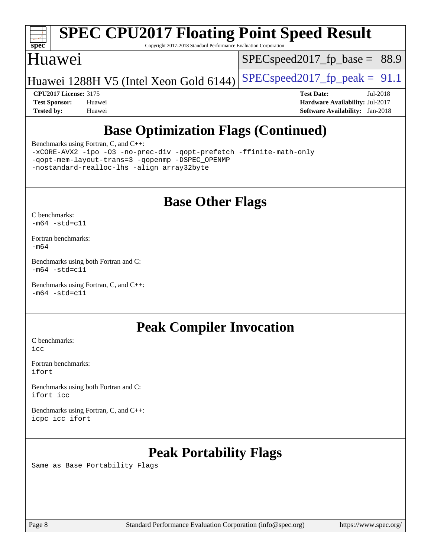

# **[SPEC CPU2017 Floating Point Speed Result](http://www.spec.org/auto/cpu2017/Docs/result-fields.html#SPECCPU2017FloatingPointSpeedResult)**

Copyright 2017-2018 Standard Performance Evaluation Corporation

### Huawei

 $SPECspeed2017_fp\_base = 88.9$ 

Huawei 1288H V5 (Intel Xeon Gold 6144) SPECspeed 2017 fp peak =  $91.1$ 

**[CPU2017 License:](http://www.spec.org/auto/cpu2017/Docs/result-fields.html#CPU2017License)** 3175 **[Test Date:](http://www.spec.org/auto/cpu2017/Docs/result-fields.html#TestDate)** Jul-2018 **[Test Sponsor:](http://www.spec.org/auto/cpu2017/Docs/result-fields.html#TestSponsor)** Huawei **[Hardware Availability:](http://www.spec.org/auto/cpu2017/Docs/result-fields.html#HardwareAvailability)** Jul-2017 **[Tested by:](http://www.spec.org/auto/cpu2017/Docs/result-fields.html#Testedby)** Huawei **[Software Availability:](http://www.spec.org/auto/cpu2017/Docs/result-fields.html#SoftwareAvailability)** Jan-2018

# **[Base Optimization Flags \(Continued\)](http://www.spec.org/auto/cpu2017/Docs/result-fields.html#BaseOptimizationFlags)**

[Benchmarks using Fortran, C, and C++:](http://www.spec.org/auto/cpu2017/Docs/result-fields.html#BenchmarksusingFortranCandCXX)

[-xCORE-AVX2](http://www.spec.org/cpu2017/results/res2018q3/cpu2017-20180712-07842.flags.html#user_CC_CXX_FCbase_f-xCORE-AVX2) [-ipo](http://www.spec.org/cpu2017/results/res2018q3/cpu2017-20180712-07842.flags.html#user_CC_CXX_FCbase_f-ipo) [-O3](http://www.spec.org/cpu2017/results/res2018q3/cpu2017-20180712-07842.flags.html#user_CC_CXX_FCbase_f-O3) [-no-prec-div](http://www.spec.org/cpu2017/results/res2018q3/cpu2017-20180712-07842.flags.html#user_CC_CXX_FCbase_f-no-prec-div) [-qopt-prefetch](http://www.spec.org/cpu2017/results/res2018q3/cpu2017-20180712-07842.flags.html#user_CC_CXX_FCbase_f-qopt-prefetch) [-ffinite-math-only](http://www.spec.org/cpu2017/results/res2018q3/cpu2017-20180712-07842.flags.html#user_CC_CXX_FCbase_f_finite_math_only_cb91587bd2077682c4b38af759c288ed7c732db004271a9512da14a4f8007909a5f1427ecbf1a0fb78ff2a814402c6114ac565ca162485bbcae155b5e4258871) [-qopt-mem-layout-trans=3](http://www.spec.org/cpu2017/results/res2018q3/cpu2017-20180712-07842.flags.html#user_CC_CXX_FCbase_f-qopt-mem-layout-trans_de80db37974c74b1f0e20d883f0b675c88c3b01e9d123adea9b28688d64333345fb62bc4a798493513fdb68f60282f9a726aa07f478b2f7113531aecce732043) [-qopenmp](http://www.spec.org/cpu2017/results/res2018q3/cpu2017-20180712-07842.flags.html#user_CC_CXX_FCbase_qopenmp_16be0c44f24f464004c6784a7acb94aca937f053568ce72f94b139a11c7c168634a55f6653758ddd83bcf7b8463e8028bb0b48b77bcddc6b78d5d95bb1df2967) [-DSPEC\\_OPENMP](http://www.spec.org/cpu2017/results/res2018q3/cpu2017-20180712-07842.flags.html#suite_CC_CXX_FCbase_DSPEC_OPENMP) [-nostandard-realloc-lhs](http://www.spec.org/cpu2017/results/res2018q3/cpu2017-20180712-07842.flags.html#user_CC_CXX_FCbase_f_2003_std_realloc_82b4557e90729c0f113870c07e44d33d6f5a304b4f63d4c15d2d0f1fab99f5daaed73bdb9275d9ae411527f28b936061aa8b9c8f2d63842963b95c9dd6426b8a) [-align array32byte](http://www.spec.org/cpu2017/results/res2018q3/cpu2017-20180712-07842.flags.html#user_CC_CXX_FCbase_align_array32byte_b982fe038af199962ba9a80c053b8342c548c85b40b8e86eb3cc33dee0d7986a4af373ac2d51c3f7cf710a18d62fdce2948f201cd044323541f22fc0fffc51b6)

# **[Base Other Flags](http://www.spec.org/auto/cpu2017/Docs/result-fields.html#BaseOtherFlags)**

[C benchmarks](http://www.spec.org/auto/cpu2017/Docs/result-fields.html#Cbenchmarks):  $-m64 - std= c11$  $-m64 - std= c11$ 

[Fortran benchmarks](http://www.spec.org/auto/cpu2017/Docs/result-fields.html#Fortranbenchmarks): [-m64](http://www.spec.org/cpu2017/results/res2018q3/cpu2017-20180712-07842.flags.html#user_FCbase_intel_intel64_18.0_af43caccfc8ded86e7699f2159af6efc7655f51387b94da716254467f3c01020a5059329e2569e4053f409e7c9202a7efc638f7a6d1ffb3f52dea4a3e31d82ab)

[Benchmarks using both Fortran and C](http://www.spec.org/auto/cpu2017/Docs/result-fields.html#BenchmarksusingbothFortranandC):  $-m64$   $-std=cl1$ 

[Benchmarks using Fortran, C, and C++:](http://www.spec.org/auto/cpu2017/Docs/result-fields.html#BenchmarksusingFortranCandCXX)  $-m64$   $-std=cl1$ 

# **[Peak Compiler Invocation](http://www.spec.org/auto/cpu2017/Docs/result-fields.html#PeakCompilerInvocation)**

[C benchmarks](http://www.spec.org/auto/cpu2017/Docs/result-fields.html#Cbenchmarks): [icc](http://www.spec.org/cpu2017/results/res2018q3/cpu2017-20180712-07842.flags.html#user_CCpeak_intel_icc_18.0_66fc1ee009f7361af1fbd72ca7dcefbb700085f36577c54f309893dd4ec40d12360134090235512931783d35fd58c0460139e722d5067c5574d8eaf2b3e37e92)

[Fortran benchmarks](http://www.spec.org/auto/cpu2017/Docs/result-fields.html#Fortranbenchmarks): [ifort](http://www.spec.org/cpu2017/results/res2018q3/cpu2017-20180712-07842.flags.html#user_FCpeak_intel_ifort_18.0_8111460550e3ca792625aed983ce982f94888b8b503583aa7ba2b8303487b4d8a21a13e7191a45c5fd58ff318f48f9492884d4413fa793fd88dd292cad7027ca)

[Benchmarks using both Fortran and C](http://www.spec.org/auto/cpu2017/Docs/result-fields.html#BenchmarksusingbothFortranandC): [ifort](http://www.spec.org/cpu2017/results/res2018q3/cpu2017-20180712-07842.flags.html#user_CC_FCpeak_intel_ifort_18.0_8111460550e3ca792625aed983ce982f94888b8b503583aa7ba2b8303487b4d8a21a13e7191a45c5fd58ff318f48f9492884d4413fa793fd88dd292cad7027ca) [icc](http://www.spec.org/cpu2017/results/res2018q3/cpu2017-20180712-07842.flags.html#user_CC_FCpeak_intel_icc_18.0_66fc1ee009f7361af1fbd72ca7dcefbb700085f36577c54f309893dd4ec40d12360134090235512931783d35fd58c0460139e722d5067c5574d8eaf2b3e37e92)

[Benchmarks using Fortran, C, and C++:](http://www.spec.org/auto/cpu2017/Docs/result-fields.html#BenchmarksusingFortranCandCXX) [icpc](http://www.spec.org/cpu2017/results/res2018q3/cpu2017-20180712-07842.flags.html#user_CC_CXX_FCpeak_intel_icpc_18.0_c510b6838c7f56d33e37e94d029a35b4a7bccf4766a728ee175e80a419847e808290a9b78be685c44ab727ea267ec2f070ec5dc83b407c0218cded6866a35d07) [icc](http://www.spec.org/cpu2017/results/res2018q3/cpu2017-20180712-07842.flags.html#user_CC_CXX_FCpeak_intel_icc_18.0_66fc1ee009f7361af1fbd72ca7dcefbb700085f36577c54f309893dd4ec40d12360134090235512931783d35fd58c0460139e722d5067c5574d8eaf2b3e37e92) [ifort](http://www.spec.org/cpu2017/results/res2018q3/cpu2017-20180712-07842.flags.html#user_CC_CXX_FCpeak_intel_ifort_18.0_8111460550e3ca792625aed983ce982f94888b8b503583aa7ba2b8303487b4d8a21a13e7191a45c5fd58ff318f48f9492884d4413fa793fd88dd292cad7027ca)

# **[Peak Portability Flags](http://www.spec.org/auto/cpu2017/Docs/result-fields.html#PeakPortabilityFlags)**

Same as Base Portability Flags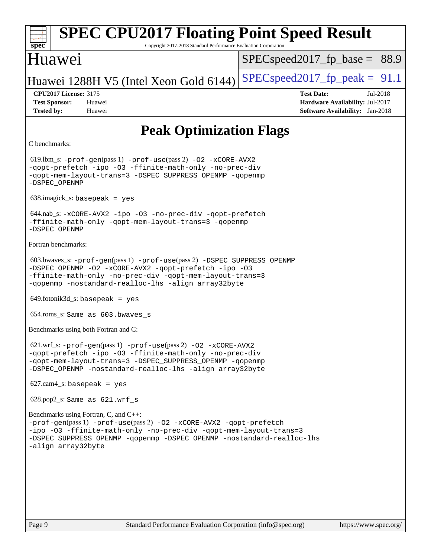### **[spec](http://www.spec.org/) [SPEC CPU2017 Floating Point Speed Result](http://www.spec.org/auto/cpu2017/Docs/result-fields.html#SPECCPU2017FloatingPointSpeedResult)** Copyright 2017-2018 Standard Performance Evaluation Corporation Huawei Huawei 1288H V5 (Intel Xeon Gold 6144) SPECspeed 2017 fp peak =  $91.1$  $SPECspeed2017_fp\_base = 88.9$ **[CPU2017 License:](http://www.spec.org/auto/cpu2017/Docs/result-fields.html#CPU2017License)** 3175 **[Test Date:](http://www.spec.org/auto/cpu2017/Docs/result-fields.html#TestDate)** Jul-2018 **[Test Sponsor:](http://www.spec.org/auto/cpu2017/Docs/result-fields.html#TestSponsor)** Huawei **[Hardware Availability:](http://www.spec.org/auto/cpu2017/Docs/result-fields.html#HardwareAvailability)** Jul-2017 **[Tested by:](http://www.spec.org/auto/cpu2017/Docs/result-fields.html#Testedby)** Huawei **[Software Availability:](http://www.spec.org/auto/cpu2017/Docs/result-fields.html#SoftwareAvailability)** Jan-2018 **[Peak Optimization Flags](http://www.spec.org/auto/cpu2017/Docs/result-fields.html#PeakOptimizationFlags)** [C benchmarks](http://www.spec.org/auto/cpu2017/Docs/result-fields.html#Cbenchmarks): 619.lbm\_s: [-prof-gen](http://www.spec.org/cpu2017/results/res2018q3/cpu2017-20180712-07842.flags.html#user_peakPASS1_CFLAGSPASS1_LDFLAGS619_lbm_s_prof_gen_5aa4926d6013ddb2a31985c654b3eb18169fc0c6952a63635c234f711e6e63dd76e94ad52365559451ec499a2cdb89e4dc58ba4c67ef54ca681ffbe1461d6b36)(pass 1) [-prof-use](http://www.spec.org/cpu2017/results/res2018q3/cpu2017-20180712-07842.flags.html#user_peakPASS2_CFLAGSPASS2_LDFLAGS619_lbm_s_prof_use_1a21ceae95f36a2b53c25747139a6c16ca95bd9def2a207b4f0849963b97e94f5260e30a0c64f4bb623698870e679ca08317ef8150905d41bd88c6f78df73f19)(pass 2) [-O2](http://www.spec.org/cpu2017/results/res2018q3/cpu2017-20180712-07842.flags.html#user_peakPASS1_COPTIMIZE619_lbm_s_f-O2) [-xCORE-AVX2](http://www.spec.org/cpu2017/results/res2018q3/cpu2017-20180712-07842.flags.html#user_peakPASS2_COPTIMIZE619_lbm_s_f-xCORE-AVX2) [-qopt-prefetch](http://www.spec.org/cpu2017/results/res2018q3/cpu2017-20180712-07842.flags.html#user_peakPASS1_COPTIMIZEPASS2_COPTIMIZE619_lbm_s_f-qopt-prefetch) [-ipo](http://www.spec.org/cpu2017/results/res2018q3/cpu2017-20180712-07842.flags.html#user_peakPASS2_COPTIMIZE619_lbm_s_f-ipo) [-O3](http://www.spec.org/cpu2017/results/res2018q3/cpu2017-20180712-07842.flags.html#user_peakPASS2_COPTIMIZE619_lbm_s_f-O3) [-ffinite-math-only](http://www.spec.org/cpu2017/results/res2018q3/cpu2017-20180712-07842.flags.html#user_peakPASS1_COPTIMIZEPASS2_COPTIMIZE619_lbm_s_f_finite_math_only_cb91587bd2077682c4b38af759c288ed7c732db004271a9512da14a4f8007909a5f1427ecbf1a0fb78ff2a814402c6114ac565ca162485bbcae155b5e4258871) [-no-prec-div](http://www.spec.org/cpu2017/results/res2018q3/cpu2017-20180712-07842.flags.html#user_peakPASS2_COPTIMIZE619_lbm_s_f-no-prec-div) [-qopt-mem-layout-trans=3](http://www.spec.org/cpu2017/results/res2018q3/cpu2017-20180712-07842.flags.html#user_peakPASS1_COPTIMIZEPASS2_COPTIMIZE619_lbm_s_f-qopt-mem-layout-trans_de80db37974c74b1f0e20d883f0b675c88c3b01e9d123adea9b28688d64333345fb62bc4a798493513fdb68f60282f9a726aa07f478b2f7113531aecce732043) [-DSPEC\\_SUPPRESS\\_OPENMP](http://www.spec.org/cpu2017/results/res2018q3/cpu2017-20180712-07842.flags.html#suite_peakPASS1_COPTIMIZE619_lbm_s_DSPEC_SUPPRESS_OPENMP) [-qopenmp](http://www.spec.org/cpu2017/results/res2018q3/cpu2017-20180712-07842.flags.html#user_peakPASS2_COPTIMIZE619_lbm_s_qopenmp_16be0c44f24f464004c6784a7acb94aca937f053568ce72f94b139a11c7c168634a55f6653758ddd83bcf7b8463e8028bb0b48b77bcddc6b78d5d95bb1df2967) [-DSPEC\\_OPENMP](http://www.spec.org/cpu2017/results/res2018q3/cpu2017-20180712-07842.flags.html#suite_peakPASS2_COPTIMIZE619_lbm_s_DSPEC_OPENMP) 638.imagick\_s: basepeak = yes 644.nab\_s: [-xCORE-AVX2](http://www.spec.org/cpu2017/results/res2018q3/cpu2017-20180712-07842.flags.html#user_peakCOPTIMIZE644_nab_s_f-xCORE-AVX2) [-ipo](http://www.spec.org/cpu2017/results/res2018q3/cpu2017-20180712-07842.flags.html#user_peakCOPTIMIZE644_nab_s_f-ipo) [-O3](http://www.spec.org/cpu2017/results/res2018q3/cpu2017-20180712-07842.flags.html#user_peakCOPTIMIZE644_nab_s_f-O3) [-no-prec-div](http://www.spec.org/cpu2017/results/res2018q3/cpu2017-20180712-07842.flags.html#user_peakCOPTIMIZE644_nab_s_f-no-prec-div) [-qopt-prefetch](http://www.spec.org/cpu2017/results/res2018q3/cpu2017-20180712-07842.flags.html#user_peakCOPTIMIZE644_nab_s_f-qopt-prefetch) [-ffinite-math-only](http://www.spec.org/cpu2017/results/res2018q3/cpu2017-20180712-07842.flags.html#user_peakCOPTIMIZE644_nab_s_f_finite_math_only_cb91587bd2077682c4b38af759c288ed7c732db004271a9512da14a4f8007909a5f1427ecbf1a0fb78ff2a814402c6114ac565ca162485bbcae155b5e4258871) [-qopt-mem-layout-trans=3](http://www.spec.org/cpu2017/results/res2018q3/cpu2017-20180712-07842.flags.html#user_peakCOPTIMIZE644_nab_s_f-qopt-mem-layout-trans_de80db37974c74b1f0e20d883f0b675c88c3b01e9d123adea9b28688d64333345fb62bc4a798493513fdb68f60282f9a726aa07f478b2f7113531aecce732043) [-qopenmp](http://www.spec.org/cpu2017/results/res2018q3/cpu2017-20180712-07842.flags.html#user_peakCOPTIMIZE644_nab_s_qopenmp_16be0c44f24f464004c6784a7acb94aca937f053568ce72f94b139a11c7c168634a55f6653758ddd83bcf7b8463e8028bb0b48b77bcddc6b78d5d95bb1df2967) [-DSPEC\\_OPENMP](http://www.spec.org/cpu2017/results/res2018q3/cpu2017-20180712-07842.flags.html#suite_peakCOPTIMIZE644_nab_s_DSPEC_OPENMP) [Fortran benchmarks:](http://www.spec.org/auto/cpu2017/Docs/result-fields.html#Fortranbenchmarks) 603.bwaves\_s: [-prof-gen](http://www.spec.org/cpu2017/results/res2018q3/cpu2017-20180712-07842.flags.html#user_peakPASS1_FFLAGSPASS1_LDFLAGS603_bwaves_s_prof_gen_5aa4926d6013ddb2a31985c654b3eb18169fc0c6952a63635c234f711e6e63dd76e94ad52365559451ec499a2cdb89e4dc58ba4c67ef54ca681ffbe1461d6b36)(pass 1) [-prof-use](http://www.spec.org/cpu2017/results/res2018q3/cpu2017-20180712-07842.flags.html#user_peakPASS2_FFLAGSPASS2_LDFLAGS603_bwaves_s_prof_use_1a21ceae95f36a2b53c25747139a6c16ca95bd9def2a207b4f0849963b97e94f5260e30a0c64f4bb623698870e679ca08317ef8150905d41bd88c6f78df73f19)(pass 2) [-DSPEC\\_SUPPRESS\\_OPENMP](http://www.spec.org/cpu2017/results/res2018q3/cpu2017-20180712-07842.flags.html#suite_peakPASS1_FOPTIMIZE603_bwaves_s_DSPEC_SUPPRESS_OPENMP) [-DSPEC\\_OPENMP](http://www.spec.org/cpu2017/results/res2018q3/cpu2017-20180712-07842.flags.html#suite_peakPASS2_FOPTIMIZE603_bwaves_s_DSPEC_OPENMP) [-O2](http://www.spec.org/cpu2017/results/res2018q3/cpu2017-20180712-07842.flags.html#user_peakPASS1_FOPTIMIZE603_bwaves_s_f-O2) [-xCORE-AVX2](http://www.spec.org/cpu2017/results/res2018q3/cpu2017-20180712-07842.flags.html#user_peakPASS2_FOPTIMIZE603_bwaves_s_f-xCORE-AVX2) [-qopt-prefetch](http://www.spec.org/cpu2017/results/res2018q3/cpu2017-20180712-07842.flags.html#user_peakPASS1_FOPTIMIZEPASS2_FOPTIMIZE603_bwaves_s_f-qopt-prefetch) [-ipo](http://www.spec.org/cpu2017/results/res2018q3/cpu2017-20180712-07842.flags.html#user_peakPASS2_FOPTIMIZE603_bwaves_s_f-ipo) [-O3](http://www.spec.org/cpu2017/results/res2018q3/cpu2017-20180712-07842.flags.html#user_peakPASS2_FOPTIMIZE603_bwaves_s_f-O3) [-ffinite-math-only](http://www.spec.org/cpu2017/results/res2018q3/cpu2017-20180712-07842.flags.html#user_peakPASS1_FOPTIMIZEPASS2_FOPTIMIZE603_bwaves_s_f_finite_math_only_cb91587bd2077682c4b38af759c288ed7c732db004271a9512da14a4f8007909a5f1427ecbf1a0fb78ff2a814402c6114ac565ca162485bbcae155b5e4258871) [-no-prec-div](http://www.spec.org/cpu2017/results/res2018q3/cpu2017-20180712-07842.flags.html#user_peakPASS2_FOPTIMIZE603_bwaves_s_f-no-prec-div) [-qopt-mem-layout-trans=3](http://www.spec.org/cpu2017/results/res2018q3/cpu2017-20180712-07842.flags.html#user_peakPASS1_FOPTIMIZEPASS2_FOPTIMIZE603_bwaves_s_f-qopt-mem-layout-trans_de80db37974c74b1f0e20d883f0b675c88c3b01e9d123adea9b28688d64333345fb62bc4a798493513fdb68f60282f9a726aa07f478b2f7113531aecce732043) [-qopenmp](http://www.spec.org/cpu2017/results/res2018q3/cpu2017-20180712-07842.flags.html#user_peakPASS2_FOPTIMIZE603_bwaves_s_qopenmp_16be0c44f24f464004c6784a7acb94aca937f053568ce72f94b139a11c7c168634a55f6653758ddd83bcf7b8463e8028bb0b48b77bcddc6b78d5d95bb1df2967) [-nostandard-realloc-lhs](http://www.spec.org/cpu2017/results/res2018q3/cpu2017-20180712-07842.flags.html#user_peakEXTRA_FOPTIMIZE603_bwaves_s_f_2003_std_realloc_82b4557e90729c0f113870c07e44d33d6f5a304b4f63d4c15d2d0f1fab99f5daaed73bdb9275d9ae411527f28b936061aa8b9c8f2d63842963b95c9dd6426b8a) [-align array32byte](http://www.spec.org/cpu2017/results/res2018q3/cpu2017-20180712-07842.flags.html#user_peakEXTRA_FOPTIMIZE603_bwaves_s_align_array32byte_b982fe038af199962ba9a80c053b8342c548c85b40b8e86eb3cc33dee0d7986a4af373ac2d51c3f7cf710a18d62fdce2948f201cd044323541f22fc0fffc51b6)  $649.$ fotonik $3d$ <sub>s</sub>: basepeak = yes 654.roms\_s: Same as 603.bwaves\_s [Benchmarks using both Fortran and C](http://www.spec.org/auto/cpu2017/Docs/result-fields.html#BenchmarksusingbothFortranandC): 621.wrf\_s: [-prof-gen](http://www.spec.org/cpu2017/results/res2018q3/cpu2017-20180712-07842.flags.html#user_peakPASS1_CFLAGSPASS1_FFLAGSPASS1_LDFLAGS621_wrf_s_prof_gen_5aa4926d6013ddb2a31985c654b3eb18169fc0c6952a63635c234f711e6e63dd76e94ad52365559451ec499a2cdb89e4dc58ba4c67ef54ca681ffbe1461d6b36)(pass 1) [-prof-use](http://www.spec.org/cpu2017/results/res2018q3/cpu2017-20180712-07842.flags.html#user_peakPASS2_CFLAGSPASS2_FFLAGSPASS2_LDFLAGS621_wrf_s_prof_use_1a21ceae95f36a2b53c25747139a6c16ca95bd9def2a207b4f0849963b97e94f5260e30a0c64f4bb623698870e679ca08317ef8150905d41bd88c6f78df73f19)(pass 2) [-O2](http://www.spec.org/cpu2017/results/res2018q3/cpu2017-20180712-07842.flags.html#user_peakPASS1_COPTIMIZEPASS1_FOPTIMIZE621_wrf_s_f-O2) [-xCORE-AVX2](http://www.spec.org/cpu2017/results/res2018q3/cpu2017-20180712-07842.flags.html#user_peakPASS2_COPTIMIZEPASS2_FOPTIMIZE621_wrf_s_f-xCORE-AVX2) [-qopt-prefetch](http://www.spec.org/cpu2017/results/res2018q3/cpu2017-20180712-07842.flags.html#user_peakPASS1_COPTIMIZEPASS1_FOPTIMIZEPASS2_COPTIMIZEPASS2_FOPTIMIZE621_wrf_s_f-qopt-prefetch) [-ipo](http://www.spec.org/cpu2017/results/res2018q3/cpu2017-20180712-07842.flags.html#user_peakPASS2_COPTIMIZEPASS2_FOPTIMIZE621_wrf_s_f-ipo) [-O3](http://www.spec.org/cpu2017/results/res2018q3/cpu2017-20180712-07842.flags.html#user_peakPASS2_COPTIMIZEPASS2_FOPTIMIZE621_wrf_s_f-O3) [-ffinite-math-only](http://www.spec.org/cpu2017/results/res2018q3/cpu2017-20180712-07842.flags.html#user_peakPASS1_COPTIMIZEPASS1_FOPTIMIZEPASS2_COPTIMIZEPASS2_FOPTIMIZE621_wrf_s_f_finite_math_only_cb91587bd2077682c4b38af759c288ed7c732db004271a9512da14a4f8007909a5f1427ecbf1a0fb78ff2a814402c6114ac565ca162485bbcae155b5e4258871) [-no-prec-div](http://www.spec.org/cpu2017/results/res2018q3/cpu2017-20180712-07842.flags.html#user_peakPASS2_COPTIMIZEPASS2_FOPTIMIZE621_wrf_s_f-no-prec-div) [-qopt-mem-layout-trans=3](http://www.spec.org/cpu2017/results/res2018q3/cpu2017-20180712-07842.flags.html#user_peakPASS1_COPTIMIZEPASS1_FOPTIMIZEPASS2_COPTIMIZEPASS2_FOPTIMIZE621_wrf_s_f-qopt-mem-layout-trans_de80db37974c74b1f0e20d883f0b675c88c3b01e9d123adea9b28688d64333345fb62bc4a798493513fdb68f60282f9a726aa07f478b2f7113531aecce732043) [-DSPEC\\_SUPPRESS\\_OPENMP](http://www.spec.org/cpu2017/results/res2018q3/cpu2017-20180712-07842.flags.html#suite_peakPASS1_COPTIMIZEPASS1_FOPTIMIZE621_wrf_s_DSPEC_SUPPRESS_OPENMP) [-qopenmp](http://www.spec.org/cpu2017/results/res2018q3/cpu2017-20180712-07842.flags.html#user_peakPASS2_COPTIMIZEPASS2_FOPTIMIZE621_wrf_s_qopenmp_16be0c44f24f464004c6784a7acb94aca937f053568ce72f94b139a11c7c168634a55f6653758ddd83bcf7b8463e8028bb0b48b77bcddc6b78d5d95bb1df2967) [-DSPEC\\_OPENMP](http://www.spec.org/cpu2017/results/res2018q3/cpu2017-20180712-07842.flags.html#suite_peakPASS2_COPTIMIZEPASS2_FOPTIMIZE621_wrf_s_DSPEC_OPENMP) [-nostandard-realloc-lhs](http://www.spec.org/cpu2017/results/res2018q3/cpu2017-20180712-07842.flags.html#user_peakEXTRA_FOPTIMIZE621_wrf_s_f_2003_std_realloc_82b4557e90729c0f113870c07e44d33d6f5a304b4f63d4c15d2d0f1fab99f5daaed73bdb9275d9ae411527f28b936061aa8b9c8f2d63842963b95c9dd6426b8a) [-align array32byte](http://www.spec.org/cpu2017/results/res2018q3/cpu2017-20180712-07842.flags.html#user_peakEXTRA_FOPTIMIZE621_wrf_s_align_array32byte_b982fe038af199962ba9a80c053b8342c548c85b40b8e86eb3cc33dee0d7986a4af373ac2d51c3f7cf710a18d62fdce2948f201cd044323541f22fc0fffc51b6)  $627.cam4_s$ : basepeak = yes 628.pop2\_s: Same as 621.wrf\_s [Benchmarks using Fortran, C, and C++](http://www.spec.org/auto/cpu2017/Docs/result-fields.html#BenchmarksusingFortranCandCXX): [-prof-gen](http://www.spec.org/cpu2017/results/res2018q3/cpu2017-20180712-07842.flags.html#user_CC_CXX_FCpeak_prof_gen_5aa4926d6013ddb2a31985c654b3eb18169fc0c6952a63635c234f711e6e63dd76e94ad52365559451ec499a2cdb89e4dc58ba4c67ef54ca681ffbe1461d6b36)(pass 1) [-prof-use](http://www.spec.org/cpu2017/results/res2018q3/cpu2017-20180712-07842.flags.html#user_CC_CXX_FCpeak_prof_use_1a21ceae95f36a2b53c25747139a6c16ca95bd9def2a207b4f0849963b97e94f5260e30a0c64f4bb623698870e679ca08317ef8150905d41bd88c6f78df73f19)(pass 2) [-O2](http://www.spec.org/cpu2017/results/res2018q3/cpu2017-20180712-07842.flags.html#user_CC_CXX_FCpeak_f-O2) [-xCORE-AVX2](http://www.spec.org/cpu2017/results/res2018q3/cpu2017-20180712-07842.flags.html#user_CC_CXX_FCpeak_f-xCORE-AVX2) [-qopt-prefetch](http://www.spec.org/cpu2017/results/res2018q3/cpu2017-20180712-07842.flags.html#user_CC_CXX_FCpeak_f-qopt-prefetch) [-ipo](http://www.spec.org/cpu2017/results/res2018q3/cpu2017-20180712-07842.flags.html#user_CC_CXX_FCpeak_f-ipo) [-O3](http://www.spec.org/cpu2017/results/res2018q3/cpu2017-20180712-07842.flags.html#user_CC_CXX_FCpeak_f-O3) [-ffinite-math-only](http://www.spec.org/cpu2017/results/res2018q3/cpu2017-20180712-07842.flags.html#user_CC_CXX_FCpeak_f_finite_math_only_cb91587bd2077682c4b38af759c288ed7c732db004271a9512da14a4f8007909a5f1427ecbf1a0fb78ff2a814402c6114ac565ca162485bbcae155b5e4258871) [-no-prec-div](http://www.spec.org/cpu2017/results/res2018q3/cpu2017-20180712-07842.flags.html#user_CC_CXX_FCpeak_f-no-prec-div) [-qopt-mem-layout-trans=3](http://www.spec.org/cpu2017/results/res2018q3/cpu2017-20180712-07842.flags.html#user_CC_CXX_FCpeak_f-qopt-mem-layout-trans_de80db37974c74b1f0e20d883f0b675c88c3b01e9d123adea9b28688d64333345fb62bc4a798493513fdb68f60282f9a726aa07f478b2f7113531aecce732043) [-DSPEC\\_SUPPRESS\\_OPENMP](http://www.spec.org/cpu2017/results/res2018q3/cpu2017-20180712-07842.flags.html#suite_CC_CXX_FCpeak_DSPEC_SUPPRESS_OPENMP) [-qopenmp](http://www.spec.org/cpu2017/results/res2018q3/cpu2017-20180712-07842.flags.html#user_CC_CXX_FCpeak_qopenmp_16be0c44f24f464004c6784a7acb94aca937f053568ce72f94b139a11c7c168634a55f6653758ddd83bcf7b8463e8028bb0b48b77bcddc6b78d5d95bb1df2967) [-DSPEC\\_OPENMP](http://www.spec.org/cpu2017/results/res2018q3/cpu2017-20180712-07842.flags.html#suite_CC_CXX_FCpeak_DSPEC_OPENMP) [-nostandard-realloc-lhs](http://www.spec.org/cpu2017/results/res2018q3/cpu2017-20180712-07842.flags.html#user_CC_CXX_FCpeak_f_2003_std_realloc_82b4557e90729c0f113870c07e44d33d6f5a304b4f63d4c15d2d0f1fab99f5daaed73bdb9275d9ae411527f28b936061aa8b9c8f2d63842963b95c9dd6426b8a) [-align array32byte](http://www.spec.org/cpu2017/results/res2018q3/cpu2017-20180712-07842.flags.html#user_CC_CXX_FCpeak_align_array32byte_b982fe038af199962ba9a80c053b8342c548c85b40b8e86eb3cc33dee0d7986a4af373ac2d51c3f7cf710a18d62fdce2948f201cd044323541f22fc0fffc51b6)